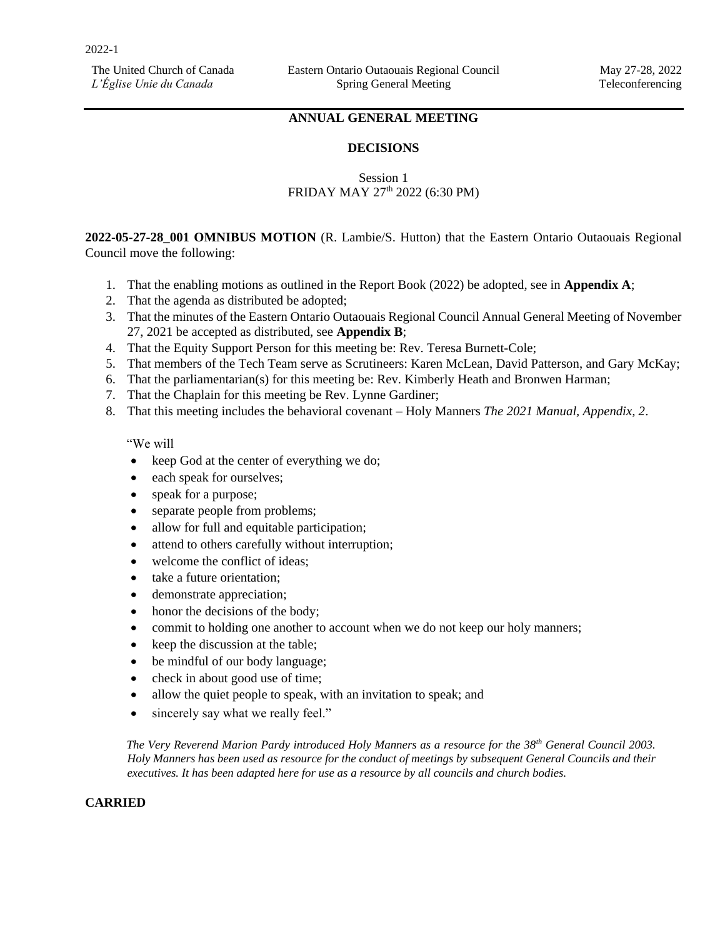# **ANNUAL GENERAL MEETING**

#### **DECISIONS**

# Session 1 FRIDAY MAY 27<sup>th</sup> 2022 (6:30 PM)

**2022-05-27-28\_001 OMNIBUS MOTION** (R. Lambie/S. Hutton) that the Eastern Ontario Outaouais Regional Council move the following:

- 1. That the enabling motions as outlined in the Report Book (2022) be adopted, see in **Appendix A**;
- 2. That the agenda as distributed be adopted;
- 3. That the minutes of the Eastern Ontario Outaouais Regional Council Annual General Meeting of November 27, 2021 be accepted as distributed, see **Appendix B**;
- 4. That the Equity Support Person for this meeting be: Rev. Teresa Burnett-Cole;
- 5. That members of the Tech Team serve as Scrutineers: Karen McLean, David Patterson, and Gary McKay;
- 6. That the parliamentarian(s) for this meeting be: Rev. Kimberly Heath and Bronwen Harman;
- 7. That the Chaplain for this meeting be Rev. Lynne Gardiner;
- 8. That this meeting includes the behavioral covenant Holy Manners *The 2021 Manual, Appendix, 2*.

"We will

- keep God at the center of everything we do;
- each speak for ourselves;
- speak for a purpose;
- separate people from problems;
- allow for full and equitable participation;
- attend to others carefully without interruption;
- welcome the conflict of ideas;
- take a future orientation:
- demonstrate appreciation;
- honor the decisions of the body;
- commit to holding one another to account when we do not keep our holy manners;
- keep the discussion at the table;
- be mindful of our body language;
- check in about good use of time;
- allow the quiet people to speak, with an invitation to speak; and
- sincerely say what we really feel."

*The Very Reverend Marion Pardy introduced Holy Manners as a resource for the 38th General Council 2003. Holy Manners has been used as resource for the conduct of meetings by subsequent General Councils and their executives. It has been adapted here for use as a resource by all councils and church bodies.* 

#### **CARRIED**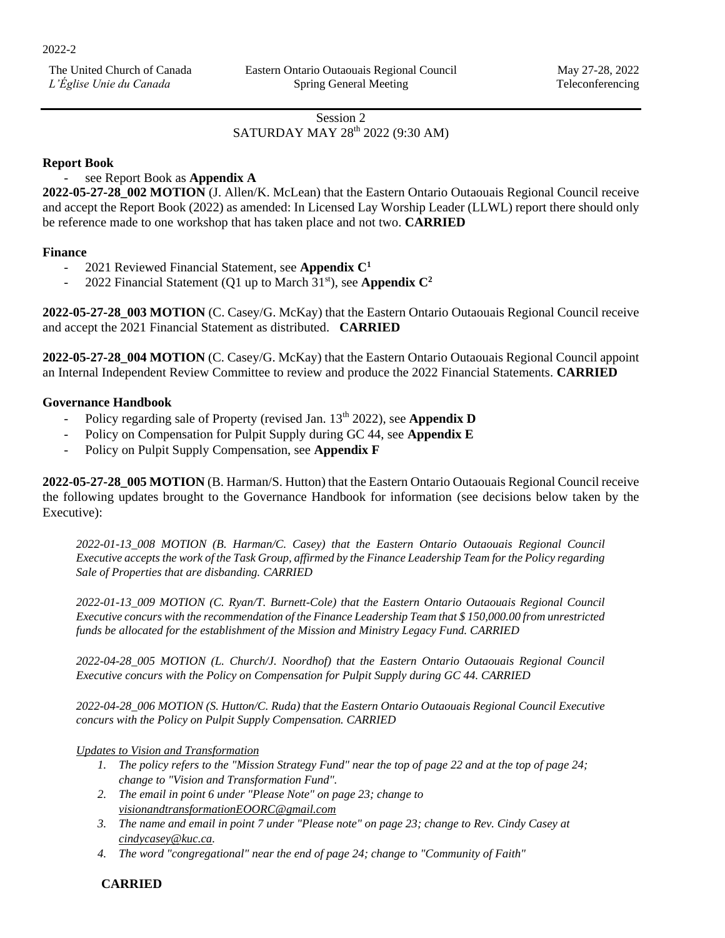Session 2

# SATURDAY MAY 28<sup>th</sup> 2022 (9:30 AM)

# **Report Book**

## - see Report Book as **Appendix A**

**2022-05-27-28\_002 MOTION** (J. Allen/K. McLean) that the Eastern Ontario Outaouais Regional Council receive and accept the Report Book (2022) as amended: In Licensed Lay Worship Leader (LLWL) report there should only be reference made to one workshop that has taken place and not two. **CARRIED**

# **Finance**

- 2021 Reviewed Financial Statement, see **Appendix C 1**
- 2022 Financial Statement (Q1 up to March 31<sup>st</sup>), see **Appendix C<sup>2</sup>**

**2022-05-27-28\_003 MOTION** (C. Casey/G. McKay) that the Eastern Ontario Outaouais Regional Council receive and accept the 2021 Financial Statement as distributed. **CARRIED**

**2022-05-27-28\_004 MOTION** (C. Casey/G. McKay) that the Eastern Ontario Outaouais Regional Council appoint an Internal Independent Review Committee to review and produce the 2022 Financial Statements. **CARRIED**

### **Governance Handbook**

- Policy regarding sale of Property (revised Jan. 13<sup>th</sup> 2022), see **Appendix D**
- Policy on Compensation for Pulpit Supply during GC 44, see **Appendix E**
- Policy on Pulpit Supply Compensation, see **Appendix F**

**2022-05-27-28\_005 MOTION** (B. Harman/S. Hutton) that the Eastern Ontario Outaouais Regional Council receive the following updates brought to the Governance Handbook for information (see decisions below taken by the Executive):

*2022-01-13\_008 MOTION (B. Harman/C. Casey) that the Eastern Ontario Outaouais Regional Council Executive accepts the work of the Task Group, affirmed by the Finance Leadership Team for the Policy regarding Sale of Properties that are disbanding. CARRIED* 

*2022-01-13\_009 MOTION (C. Ryan/T. Burnett-Cole) that the Eastern Ontario Outaouais Regional Council Executive concurs with the recommendation of the Finance Leadership Team that \$ 150,000.00 from unrestricted funds be allocated for the establishment of the Mission and Ministry Legacy Fund. CARRIED* 

*2022-04-28\_005 MOTION (L. Church/J. Noordhof) that the Eastern Ontario Outaouais Regional Council Executive concurs with the Policy on Compensation for Pulpit Supply during GC 44. CARRIED* 

*2022-04-28\_006 MOTION (S. Hutton/C. Ruda) that the Eastern Ontario Outaouais Regional Council Executive concurs with the Policy on Pulpit Supply Compensation. CARRIED* 

### *Updates to Vision and Transformation*

- *1. The policy refers to the "Mission Strategy Fund" near the top of page 22 and at the top of page 24; change to "Vision and Transformation Fund".*
- *2. The email in point 6 under "Please Note" on page 23; change to [visionandtransformationEOORC@gmail.com](mailto:visionandtransformationEOORC@gmail.com)*
- *3. The name and email in point 7 under "Please note" on page 23; change to Rev. Cindy Casey at [cindycasey@kuc.ca.](mailto:cindycasey@kuc.ca)*
- *4. The word "congregational" near the end of page 24; change to "Community of Faith"*

# **CARRIED**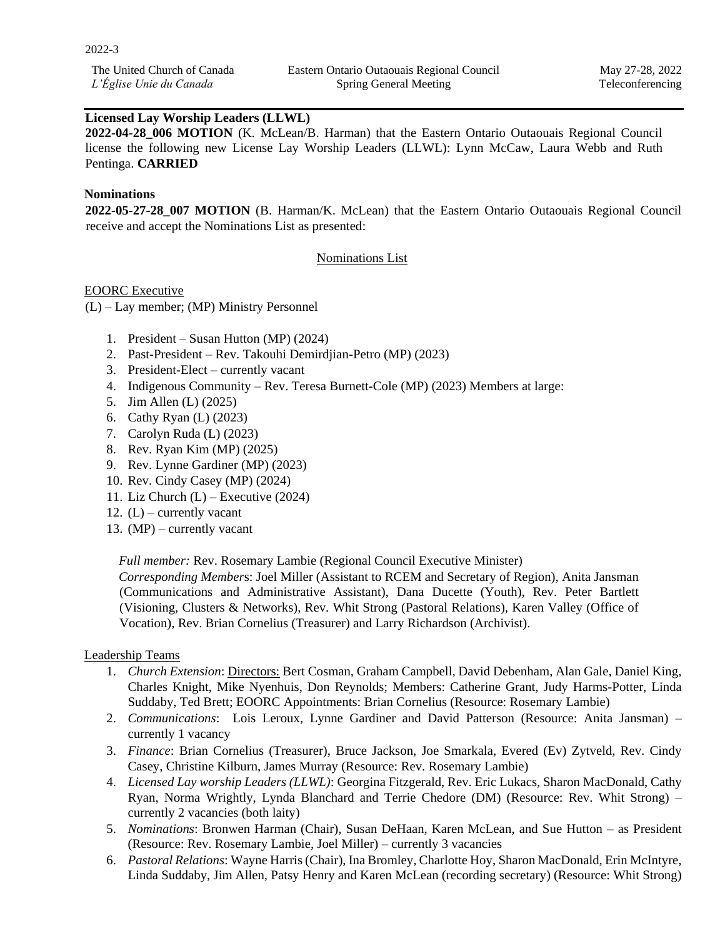# **Licensed Lay Worship Leaders (LLWL)**

**2022-04-28\_006 MOTION** (K. McLean/B. Harman) that the Eastern Ontario Outaouais Regional Council license the following new License Lay Worship Leaders (LLWL): Lynn McCaw, Laura Webb and Ruth Pentinga. **CARRIED**

### **Nominations**

**2022-05-27-28\_007 MOTION** (B. Harman/K. McLean) that the Eastern Ontario Outaouais Regional Council receive and accept the Nominations List as presented:

#### Nominations List

#### EOORC Executive

(L) – Lay member; (MP) Ministry Personnel

- 1. President *–* Susan Hutton (MP) (2024)
- 2. Past-President Rev. Takouhi Demirdjian-Petro (MP) (2023)
- 3. President-Elect currently vacant
- 4. Indigenous Community Rev. Teresa Burnett-Cole (MP) (2023) Members at large:
- 5. Jim Allen (L) (2025)
- 6. Cathy Ryan (L) (2023)
- 7. Carolyn Ruda (L) (2023)
- 8. Rev. Ryan Kim (MP) (2025)
- 9. Rev. Lynne Gardiner (MP) (2023)
- 10. Rev. Cindy Casey (MP) (2024)
- 11. Liz Church  $(L)$  Executive (2024)
- 12.  $(L)$  currently vacant
- 13. (MP) currently vacant

*Full member:* Rev. Rosemary Lambie (Regional Council Executive Minister)

*Corresponding Member*s: Joel Miller (Assistant to RCEM and Secretary of Region), Anita Jansman (Communications and Administrative Assistant), Dana Ducette (Youth), Rev. Peter Bartlett (Visioning, Clusters & Networks), Rev. Whit Strong (Pastoral Relations), Karen Valley (Office of Vocation), Rev. Brian Cornelius (Treasurer) and Larry Richardson (Archivist).

#### Leadership Teams

- 1. *Church Extension*: Directors: Bert Cosman, Graham Campbell, David Debenham, Alan Gale, Daniel King, Charles Knight, Mike Nyenhuis, Don Reynolds; Members: Catherine Grant, Judy Harms-Potter, Linda Suddaby, Ted Brett; EOORC Appointments: Brian Cornelius (Resource: Rosemary Lambie)
- 2. *Communications*: Lois Leroux, Lynne Gardiner and David Patterson (Resource: Anita Jansman) currently 1 vacancy
- 3. *Finance*: Brian Cornelius (Treasurer), Bruce Jackson, Joe Smarkala, Evered (Ev) Zytveld, Rev. Cindy Casey, Christine Kilburn, James Murray (Resource: Rev. Rosemary Lambie)
- 4. *Licensed Lay worship Leaders (LLWL)*: Georgina Fitzgerald, Rev. Eric Lukacs, Sharon MacDonald, Cathy Ryan, Norma Wrightly, Lynda Blanchard and Terrie Chedore (DM) (Resource: Rev. Whit Strong) – currently 2 vacancies (both laity)
- 5. *Nominations*: Bronwen Harman (Chair), Susan DeHaan, Karen McLean, and Sue Hutton as President (Resource: Rev. Rosemary Lambie, Joel Miller) – currently 3 vacancies
- 6. *Pastoral Relations*: Wayne Harris (Chair), Ina Bromley, Charlotte Hoy, Sharon MacDonald, Erin McIntyre, Linda Suddaby, Jim Allen, Patsy Henry and Karen McLean (recording secretary) (Resource: Whit Strong)